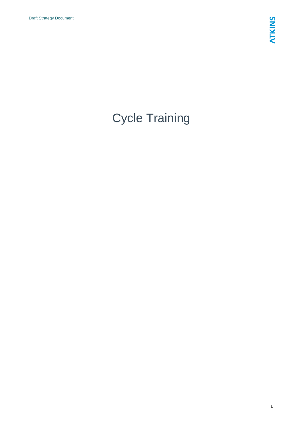# Cycle Training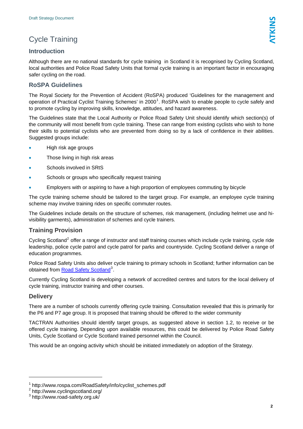### Cycle Training

### **Introduction**

Although there are no national standards for cycle training in Scotland it is recognised by Cycling Scotland, local authorities and Police Road Safety Units that formal cycle training is an important factor in encouraging safer cycling on the road.

### **RoSPA Guidelines**

The Royal Society for the Prevention of Accident (RoSPA) produced 'Guidelines for the management and operation of Practical Cyclist Training Schemes' in 2000<sup>[1](#page-1-0)</sup>. RoSPA wish to enable people to cycle safely and to promote cycling by improving skills, knowledge, attitudes, and hazard awareness.

The Guidelines state that the Local Authority or Police Road Safety Unit should identify which section(s) of the community will most benefit from cycle training. These can range from existing cyclists who wish to hone their skills to potential cyclists who are prevented from doing so by a lack of confidence in their abilities. Suggested groups include:

- High risk age groups
- Those living in high risk areas
- Schools involved in SRtS
- Schools or groups who specifically request training
- Employers with or aspiring to have a high proportion of employees commuting by bicycle

The cycle training scheme should be tailored to the target group. For example, an employee cycle training scheme may involve training rides on specific commuter routes.

The Guidelines include details on the structure of schemes, risk management, (including helmet use and hivisibility garments), administration of schemes and cycle trainers.

### **Training Provision**

Cycling Scotland<sup>[2](#page-1-1)</sup> offer a range of instructor and staff training courses which include cycle training, cycle ride leadership, police cycle patrol and cycle patrol for parks and countryside. Cycling Scotland deliver a range of education programmes.

Police Road Safety Units also deliver cycle training to primary schools in Scotland; further information can be obtained from [Road Safety Scotland](#page-1-2)<sup>3</sup>.

Currently Cycling Scotland is developing a network of accredited centres and tutors for the local delivery of cycle training, instructor training and other courses.

### **Delivery**

l

There are a number of schools currently offering cycle training. Consultation revealed that this is primarily for the P6 and P7 age group. It is proposed that training should be offered to the wider community

TACTRAN Authorities should identify target groups, as suggested above in section 1.2, to receive or be offered cycle training. Depending upon available resources, this could be delivered by Police Road Safety Units, Cycle Scotland or Cycle Scotland trained personnel within the Council.

This would be an ongoing activity which should be initiated immediately on adoption of the Strategy.

<sup>1</sup> http://www.rospa.com/RoadSafety/info/cyclist\_schemes.pdf

<sup>2</sup> http://www.cyclingscotland.org/

<span id="page-1-2"></span><span id="page-1-1"></span><span id="page-1-0"></span><sup>3</sup> http://www.road-safety.org.uk/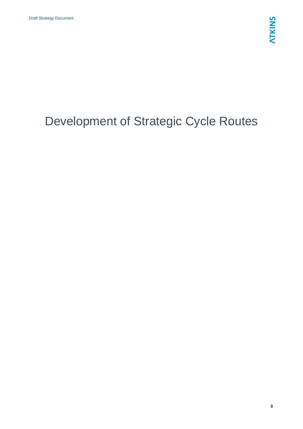# Development of Strategic Cycle Routes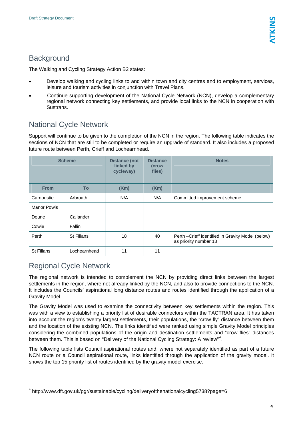## <span id="page-3-0"></span>**Background**

The Walking and Cycling Strategy Action B2 states:

- Develop walking and cycling links to and within town and city centres and to employment, services, leisure and tourism activities in conjunction with Travel Plans.
- Continue supporting development of the National Cycle Network (NCN), develop a complementary regional network connecting key settlements, and provide local links to the NCN in cooperation with Sustrans.

# National Cycle Network

Support will continue to be given to the completion of the NCN in the region. The following table indicates the sections of NCN that are still to be completed or require an upgrade of standard. It also includes a proposed future route between Perth, Crieff and Lochearnhead.

| <b>Scheme</b>      |              | <b>Distance (not</b><br>linked by<br>cycleway) | <b>Distance</b><br>(crow<br>flies) | <b>Notes</b>                                                                |
|--------------------|--------------|------------------------------------------------|------------------------------------|-----------------------------------------------------------------------------|
| <b>From</b>        | To           | (Km)                                           | (Km)                               |                                                                             |
| Carnoustie         | Arbroath     | N/A                                            | N/A                                | Committed improvement scheme.                                               |
| <b>Manor Powis</b> |              |                                                |                                    |                                                                             |
| Doune              | Callander    |                                                |                                    |                                                                             |
| Cowie              | Fallin       |                                                |                                    |                                                                             |
| Perth              | St Fillans   | 18                                             | 40                                 | Perth - Crieff identified in Gravity Model (below)<br>as priority number 13 |
| St Fillans         | Lochearnhead | 11                                             | 11                                 |                                                                             |

## Regional Cycle Network

l

The regional network is intended to complement the NCN by providing direct links between the largest settlements in the region, where not already linked by the NCN, and also to provide connections to the NCN. It includes the Councils' aspirational long distance routes and routes identified through the application of a Gravity Model.

The Gravity Model was used to examine the connectivity between key settlements within the region. This was with a view to establishing a priority list of desirable connectors within the TACTRAN area. It has taken into account the region's twenty largest settlements, their populations, the "crow fly" distance between them and the location of the existing NCN. The links identified were ranked using simple Gravity Model principles considering the combined populations of the origin and destination settlements and "crow flies" distances between them. This is based on "Delivery of the National Cycling Strategy: A review"<sup>[4](#page-3-0)</sup>.

The following table lists Council aspirational routes and, where not separately identified as part of a future NCN route or a Council aspirational route, links identified through the application of the gravity model. It shows the top 15 priority list of routes identified by the gravity model exercise.

<sup>&</sup>lt;sup>4</sup> http://www.dft.gov.uk/pgr/sustainable/cycling/deliveryofthenationalcycling5738?page=6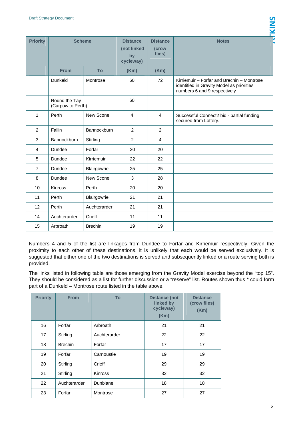| <b>Priority</b>                    | <b>Scheme</b> |                | <b>Distance</b><br>(not linked<br>by<br>cycleway) | <b>Distance</b><br>(crow<br>flies) | <b>Notes</b>                                                                                                            |
|------------------------------------|---------------|----------------|---------------------------------------------------|------------------------------------|-------------------------------------------------------------------------------------------------------------------------|
|                                    | <b>From</b>   | <b>To</b>      | (Km)                                              | (Km)                               |                                                                                                                         |
|                                    | Dunkeld       | Montrose       | 60                                                | 72                                 | Kirriemuir - Forfar and Brechin - Montrose<br>identified in Gravity Model as priorities<br>numbers 6 and 9 respectively |
| Round the Tay<br>(Carpow to Perth) |               | 60             |                                                   |                                    |                                                                                                                         |
| $\mathbf{1}$                       | Perth         | New Scone      | 4                                                 | $\overline{4}$                     | Successful Connect2 bid - partial funding<br>secured from Lottery.                                                      |
| $\overline{2}$                     | Fallin        | Bannockburn    | $\overline{2}$                                    | $\overline{2}$                     |                                                                                                                         |
| 3                                  | Bannockburn   | Stirling       | 2                                                 | 4                                  |                                                                                                                         |
| $\overline{4}$                     | Dundee        | Forfar         | 20                                                | 20                                 |                                                                                                                         |
| 5                                  | Dundee        | Kirriemuir     | 22                                                | 22                                 |                                                                                                                         |
| $\overline{7}$                     | Dundee        | Blairgowrie    | 25                                                | 25                                 |                                                                                                                         |
| 8                                  | Dundee        | New Scone      | 3                                                 | 28                                 |                                                                                                                         |
| 10                                 | Kinross       | Perth          | 20                                                | 20                                 |                                                                                                                         |
| 11                                 | Perth         | Blairgowrie    | 21                                                | 21                                 |                                                                                                                         |
| 12                                 | Perth         | Auchterarder   | 21                                                | 21                                 |                                                                                                                         |
| 14                                 | Auchterarder  | Crieff         | 11                                                | 11                                 |                                                                                                                         |
| 15                                 | Arbroath      | <b>Brechin</b> | 19                                                | 19                                 |                                                                                                                         |

Numbers 4 and 5 of the list are linkages from Dundee to Forfar and Kirriemuir respectively. Given the proximity to each other of these destinations, it is unlikely that each would be served exclusively. It is suggested that either one of the two destinations is served and subsequently linked or a route serving both is provided.

The links listed in following table are those emerging from the Gravity Model exercise beyond the "top 15". They should be considered as a list for further discussion or a "reserve" list. Routes shown thus \* could form part of a Dunkeld – Montrose route listed in the table above.

| <b>Priority</b> | <b>From</b>    | To             | <b>Distance (not</b><br>linked by<br>cycleway)<br>(Km) | <b>Distance</b><br>(crow flies)<br>(Km) |
|-----------------|----------------|----------------|--------------------------------------------------------|-----------------------------------------|
| 16              | Forfar         | Arbroath       | 21                                                     | 21                                      |
| 17              | Stirling       | Auchterarder   | 22                                                     | 22                                      |
| 18              | <b>Brechin</b> | Forfar         | 17                                                     | 17                                      |
| 19              | Forfar         | Carnoustie     | 19                                                     | 19                                      |
| 20              | Stirling       | Crieff         | 29                                                     | 29                                      |
| 21              | Stirling       | <b>Kinross</b> | 32                                                     | 32                                      |
| 22              | Auchterarder   | Dunblane       | 18                                                     | 18                                      |
| 23              | Forfar         | Montrose       | 27                                                     | 27                                      |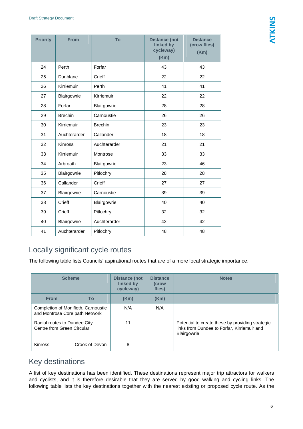| <b>Priority</b> | <b>From</b>    | To             | <b>Distance (not</b><br>linked by<br>cycleway)<br>(Km) | <b>Distance</b><br>(crow flies)<br>(Km) |
|-----------------|----------------|----------------|--------------------------------------------------------|-----------------------------------------|
| 24              | Perth          | Forfar         | 43                                                     | 43                                      |
| 25              | Dunblane       | Crieff         | 22                                                     | 22                                      |
| 26              | Kirriemuir     | Perth          | 41                                                     | 41                                      |
| 27              | Blairgowrie    | Kirriemuir     | 22                                                     | 22                                      |
| 28              | Forfar         | Blairgowrie    | 28                                                     | 28                                      |
| 29              | <b>Brechin</b> | Carnoustie     | 26                                                     | 26                                      |
| 30              | Kirriemuir     | <b>Brechin</b> | 23                                                     | 23                                      |
| 31              | Auchterarder   | Callander      | 18                                                     | 18                                      |
| 32              | Kinross        | Auchterarder   | 21                                                     | 21                                      |
| 33              | Kirriemuir     | Montrose       | 33                                                     | 33                                      |
| 34              | Arbroath       | Blairgowrie    | 23                                                     | 46                                      |
| 35              | Blairgowrie    | Pitlochry      | 28                                                     | 28                                      |
| 36              | Callander      | Crieff         | 27                                                     | 27                                      |
| 37              | Blairgowrie    | Carnoustie     | 39                                                     | 39                                      |
| 38              | Crieff         | Blairgowrie    | 40                                                     | 40                                      |
| 39              | Crieff         | Pitlochry      | 32                                                     | 32                                      |
| 40              | Blairgowrie    | Auchterarder   | 42                                                     | 42                                      |
| 41              | Auchterarder   | Pitlochry      | 48                                                     | 48                                      |

## Locally significant cycle routes

The following table lists Councils' aspirational routes that are of a more local strategic importance.

| <b>Scheme</b>                                                         |                | <b>Distance (not</b><br>linked by<br>cycleway) | <b>Distance</b><br>(crow<br>flies) | <b>Notes</b>                                                                                                   |
|-----------------------------------------------------------------------|----------------|------------------------------------------------|------------------------------------|----------------------------------------------------------------------------------------------------------------|
| <b>From</b>                                                           | To             | (Km)                                           | (Km)                               |                                                                                                                |
| Completion of Monifieth, Carnoustie<br>and Montrose Core path Network |                | N/A                                            | N/A                                |                                                                                                                |
| Radial routes to Dundee City<br>Centre from Green Circular            |                | 11                                             |                                    | Potential to create these by providing strategic<br>links from Dundee to Forfar, Kirriemuir and<br>Blairgowrie |
| Kinross                                                               | Crook of Devon | 8                                              |                                    |                                                                                                                |

### Key destinations

A list of key destinations has been identified. These destinations represent major trip attractors for walkers and cyclists, and it is therefore desirable that they are served by good walking and cycling links. The following table lists the key destinations together with the nearest existing or proposed cycle route. As the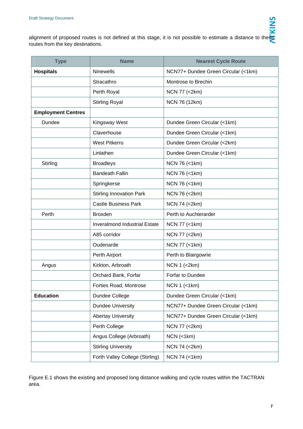alignment of proposed routes is not defined at this stage, it is not possible to estimate a distance to these routes from the key destinations.

| <b>Type</b><br><b>Name</b> |                                      | <b>Nearest Cycle Route</b>          |  |
|----------------------------|--------------------------------------|-------------------------------------|--|
| <b>Hospitals</b>           | <b>Ninewells</b>                     | NCN77+ Dundee Green Circular (<1km) |  |
|                            | Stracathro                           | Montrose to Brechin                 |  |
|                            | Perth Royal                          | NCN 77 (<2km)                       |  |
|                            | <b>Stirling Royal</b>                | NCN 76 (12km)                       |  |
| <b>Employment Centres</b>  |                                      |                                     |  |
| Dundee                     | <b>Kingsway West</b>                 | Dundee Green Circular (<1km)        |  |
|                            | Claverhouse                          | Dundee Green Circular (<1km)        |  |
|                            | <b>West Pitkerro</b>                 | Dundee Green Circular (<2km)        |  |
|                            | Linlathen                            | Dundee Green Circular (<1km)        |  |
| Stirling                   | <b>Broadleys</b>                     | NCN 76 (<1km)                       |  |
|                            | <b>Bandeath Fallin</b>               | NCN 76 (<1km)                       |  |
|                            | Springkerse                          | NCN 76 (<1km)                       |  |
|                            | <b>Stirling Innovation Park</b>      | NCN 76 (<2km)                       |  |
|                            | <b>Castle Business Park</b>          | NCN 74 (<2km)                       |  |
| Perth                      | <b>Broxden</b>                       | Perth to Auchterarder               |  |
|                            | <b>Inveralmond Industrial Estate</b> | NCN 77 (<1km)                       |  |
|                            | A85 corridor                         | NCN 77 (<2km)                       |  |
|                            | Oudenarde                            | NCN 77 (<1km)                       |  |
|                            | Perth Airport                        | Perth to Blairgowrie                |  |
| Angus                      | Kirkton, Arbroath                    | <b>NCN 1 (&lt;2km)</b>              |  |
|                            | Orchard Bank, Forfar                 | Forfar to Dundee                    |  |
|                            | Forties Road, Montrose               | $NCN 1$ (<1km)                      |  |
| <b>Education</b>           | Dundee College                       | Dundee Green Circular (<1km)        |  |
|                            | <b>Dundee University</b>             | NCN77+ Dundee Green Circular (<1km) |  |
|                            | <b>Abertay University</b>            | NCN77+ Dundee Green Circular (<1km) |  |
|                            | Perth College                        | NCN 77 (<2km)                       |  |
|                            | Angus College (Arbroath)             | $NCN$ (<1 $km$ )                    |  |
|                            | <b>Stirling University</b>           | NCN 74 (<2km)                       |  |
|                            | Forth Valley College (Stirling)      | NCN 74 (<1km)                       |  |

Figure E.1 shows the existing and proposed long distance walking and cycle routes within the TACTRAN area.